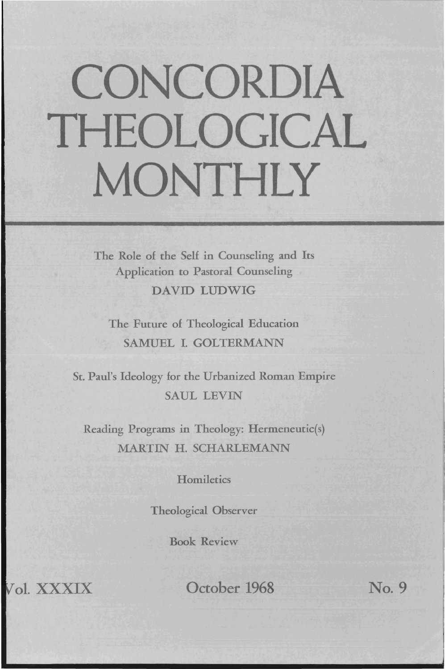## **CONCORDIA THEOLOGICAL MONTHLY**

The Role of the Self in Counseling and Its Application to Pastoral Counseling DAVID LUDWIG

The Future of Theological Education SAMUEL I. GOLTERMANN

St. Paul's Ideology for the Urbanized Roman Empire SAUL LEVIN

Reading Programs in Theology: Hermeneutic(s) MARTIN H. SCHARLEMANN

**Homiletics** 

Theological Observer

Book Review

Vol. XXXIX October 1968 No. 9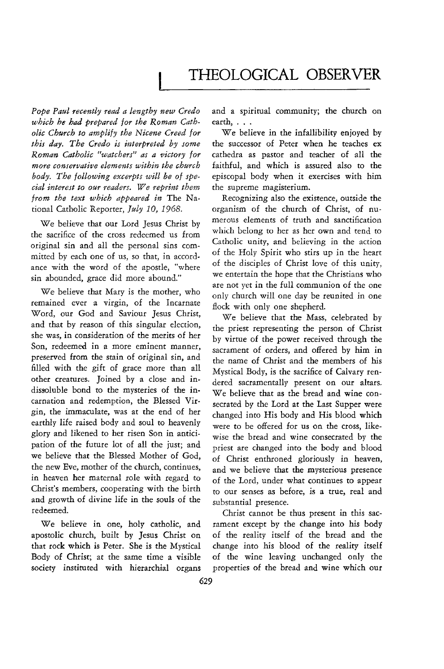## THEOLOGICAL OBSERVER

*Pope Paul recently read a lengthy new Credo*  which he had prepared for the Roman Cath*olic Church to amplify the Nicene Creed for this day. The Credo is interpreted by some Roman Catholic "watchers" as a victory for*  more conservative elements within the church *body. The fol/owing excerpts will be of special interest to our readers. We reprint them from the text which appeared in* The National Catholic Reporter, *July 10, 1968*.

We believe that our Lord Jesus Christ by the sacrifice of the cross redeemed us from original sin and all the personal sins committed by each one of us, so that, in accordance with the word of the apostle, "where sin abounded, grace did more abound."

We believe that Mary is the mother, who remained ever a virgin, of the Incarnate Word, our God and Saviour Jesus Christ, and that by reason of this singular election, she was, in consideration of the merits of her Son, redeemed in a more eminent manner, preserved from the srain of original sin, and filled with the gift of grace more than all other creatures. Joined by a close and indissoluble bond to the mysteries of the incarnation and redemption, the Blessed Virgin, the immaculate, was at the end of her earthly life raised body and soul to heavenly glory and likened to her risen Son in anticipation of the future lot of all the just; and we believe that the Blessed Mother of God, the new Eve, mother of the church, continues, in heaven her maternal role with regard to Christ's members, cooperating with the birth and growth of divine life in the souls of the redeemed.

We believe in one, holy catholic, and apostolic church, built by Jesus Christ on that rock which is Peter. She is the Mystical Body of Christ; at the same time a visible society instituted with hierarchial organs and a spiritual community; the church on earth, ...

We believe in the infallibility enjoyed by the successor of Peter when he teaches ex cathedra as pastor and teacher of all the faithful, and which is assured also to the episcopal body when it exercises with him the supreme magisterium.

Recognizing also the existence, outside the organism of the church of Christ, of numerous elements of truth and sanctification which belong to her as her own and tend to Catholic unity, and believing in the action of the Holy Spirit who stirs up in the heart of the disciples of Christ love of this unity, we entertain the hope that the Christians who are not yet in the full communion of the one only church will one day be reunited in one flock with only one shepherd.

We believe that the Mass, celebrated by the priest representing the person of Christ by virtue of the power received through the sacrament of orders, and offered by him in the name of Christ and the members of his Mystical Body, is the sacrifice of Calvary rendered sacramentally present on our altars. We believe that as the bread and wine consecrated by the Lord at the Last Supper were changed into His body and His blood which were to be offered for us on the cross, likewise the bread and wine consecrated by the priest are changed into the body and blood of Christ enthroned gloriously in heaven, and we believe that the mysterious presence of the Lord, under what continues to appear to our senses as before, is a true, real and substantial presence.

Christ cannot be thus present in this sacrament except by the change into his body of the reality itself of the bread and the change into his blood of the reality itself of the wine leaving unchanged only the properties of the bread and wine which our